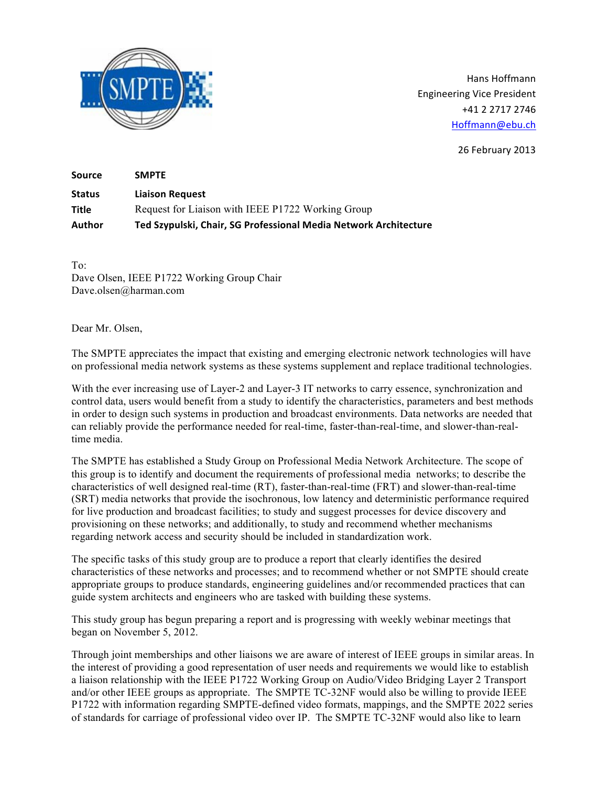

Hans Hoffmann Engineering Vice President +41 2 2717 2746 Hoffmann@ebu.ch

26 February 2013

| <b>Source</b> | <b>SMPTE</b>                                                     |
|---------------|------------------------------------------------------------------|
| <b>Status</b> | <b>Liaison Request</b>                                           |
| Title         | Request for Liaison with IEEE P1722 Working Group                |
| Author        | Ted Szypulski, Chair, SG Professional Media Network Architecture |

To: Dave Olsen, IEEE P1722 Working Group Chair Dave.olsen@harman.com

Dear Mr. Olsen,

The SMPTE appreciates the impact that existing and emerging electronic network technologies will have on professional media network systems as these systems supplement and replace traditional technologies.

With the ever increasing use of Layer-2 and Layer-3 IT networks to carry essence, synchronization and control data, users would benefit from a study to identify the characteristics, parameters and best methods in order to design such systems in production and broadcast environments. Data networks are needed that can reliably provide the performance needed for real-time, faster-than-real-time, and slower-than-realtime media.

The SMPTE has established a Study Group on Professional Media Network Architecture. The scope of this group is to identify and document the requirements of professional media networks; to describe the characteristics of well designed real-time (RT), faster-than-real-time (FRT) and slower-than-real-time (SRT) media networks that provide the isochronous, low latency and deterministic performance required for live production and broadcast facilities; to study and suggest processes for device discovery and provisioning on these networks; and additionally, to study and recommend whether mechanisms regarding network access and security should be included in standardization work.

The specific tasks of this study group are to produce a report that clearly identifies the desired characteristics of these networks and processes; and to recommend whether or not SMPTE should create appropriate groups to produce standards, engineering guidelines and/or recommended practices that can guide system architects and engineers who are tasked with building these systems.

This study group has begun preparing a report and is progressing with weekly webinar meetings that began on November 5, 2012.

Through joint memberships and other liaisons we are aware of interest of IEEE groups in similar areas. In the interest of providing a good representation of user needs and requirements we would like to establish a liaison relationship with the IEEE P1722 Working Group on Audio/Video Bridging Layer 2 Transport and/or other IEEE groups as appropriate. The SMPTE TC-32NF would also be willing to provide IEEE P1722 with information regarding SMPTE-defined video formats, mappings, and the SMPTE 2022 series of standards for carriage of professional video over IP. The SMPTE TC-32NF would also like to learn